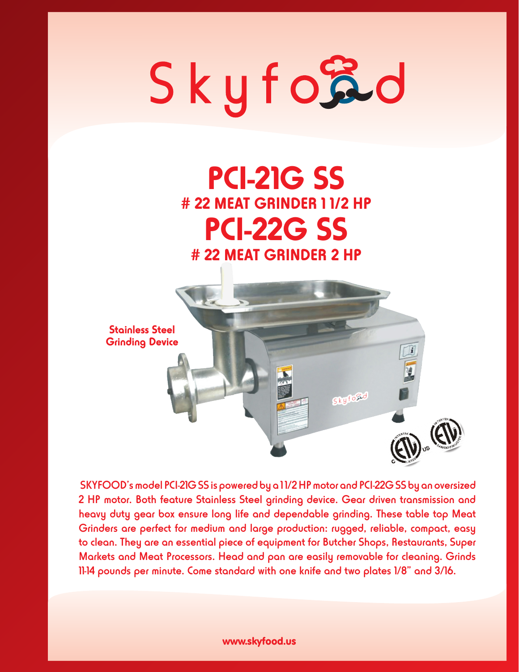# Skyford

## **PCI-21G SS # 22 MEAT GRINDER 1 1/2 HP PCI-22G SS # 22 MEAT GRINDER 2 HP**



 SKYFOOD's model PCI-21G SS is powered by a 1 1/2 HP motor and PCI-22G SS by an oversized 2 HP motor. Both feature Stainless Steel grinding device. Gear driven transmission and heavy duty gear box ensure long life and dependable grinding. These table top Meat Grinders are perfect for medium and large production: rugged, reliable, compact, easy to clean. They are an essential piece of equipment for Butcher Shops, Restaurants, Super Markets and Meat Processors. Head and pan are easily removable for cleaning. Grinds 11-14 pounds per minute. Come standard with one knife and two plates 1/8" and 3/16.

#### www.skyfood.us